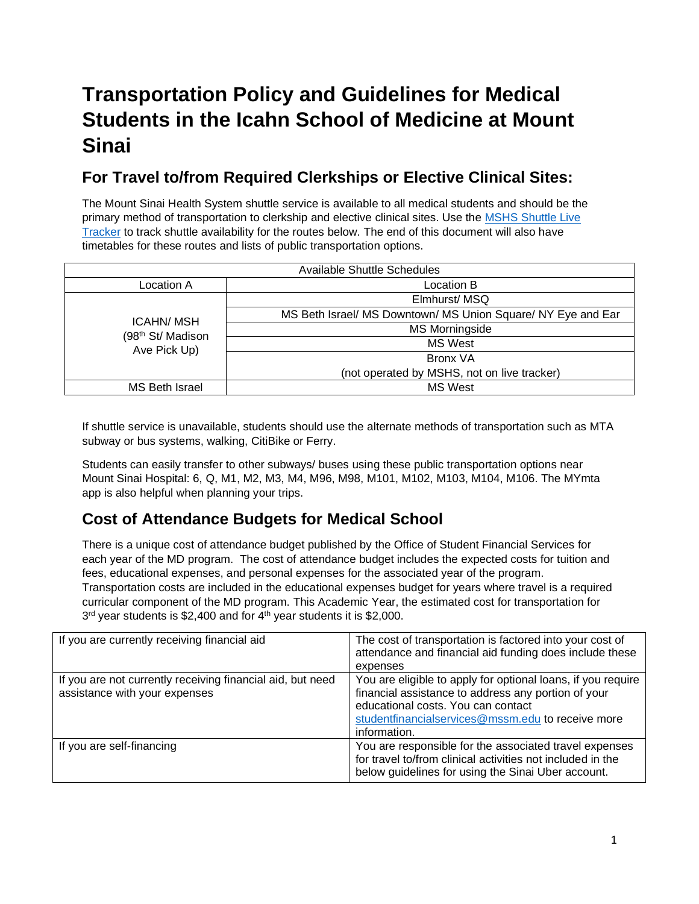# **Transportation Policy and Guidelines for Medical Students in the Icahn School of Medicine at Mount Sinai**

### **For Travel to/from Required Clerkships or Elective Clinical Sites:**

The Mount Sinai Health System shuttle service is available to all medical students and should be the primary method of transportation to clerkship and elective clinical sites. Use the [MSHS Shuttle Live](http://mshsshuttle.org/routes)  [Tracker](http://mshsshuttle.org/routes) to track shuttle availability for the routes below. The end of this document will also have timetables for these routes and lists of public transportation options.

| <b>Available Shuttle Schedules</b>                                |                                                              |  |  |  |  |
|-------------------------------------------------------------------|--------------------------------------------------------------|--|--|--|--|
| Location A                                                        | Location B                                                   |  |  |  |  |
| <b>ICAHN/MSH</b><br>(98 <sup>th</sup> St/ Madison<br>Ave Pick Up) | Elmhurst/MSQ                                                 |  |  |  |  |
|                                                                   | MS Beth Israel/ MS Downtown/ MS Union Square/ NY Eye and Ear |  |  |  |  |
|                                                                   | <b>MS Morningside</b>                                        |  |  |  |  |
|                                                                   | MS West                                                      |  |  |  |  |
|                                                                   | Bronx VA                                                     |  |  |  |  |
|                                                                   | (not operated by MSHS, not on live tracker)                  |  |  |  |  |
| MS Beth Israel                                                    | <b>MS West</b>                                               |  |  |  |  |

If shuttle service is unavailable, students should use the alternate methods of transportation such as MTA subway or bus systems, walking, CitiBike or Ferry.

Students can easily transfer to other subways/ buses using these public transportation options near Mount Sinai Hospital: 6, Q, M1, M2, M3, M4, M96, M98, M101, M102, M103, M104, M106. The MYmta app is also helpful when planning your trips.

### **Cost of Attendance Budgets for Medical School**

There is a unique cost of attendance budget published by the Office of Student Financial Services for each year of the MD program. The cost of attendance budget includes the expected costs for tuition and fees, educational expenses, and personal expenses for the associated year of the program. Transportation costs are included in the educational expenses budget for years where travel is a required curricular component of the MD program. This Academic Year, the estimated cost for transportation for 3<sup>rd</sup> year students is \$2,400 and for 4<sup>th</sup> year students it is \$2,000.

| If you are currently receiving financial aid                                                | The cost of transportation is factored into your cost of<br>attendance and financial aid funding does include these<br>expenses                                                                                                |
|---------------------------------------------------------------------------------------------|--------------------------------------------------------------------------------------------------------------------------------------------------------------------------------------------------------------------------------|
| If you are not currently receiving financial aid, but need<br>assistance with your expenses | You are eligible to apply for optional loans, if you require<br>financial assistance to address any portion of your<br>educational costs. You can contact<br>studentfinancialservices@mssm.edu to receive more<br>information. |
| If you are self-financing                                                                   | You are responsible for the associated travel expenses<br>for travel to/from clinical activities not included in the<br>below guidelines for using the Sinai Uber account.                                                     |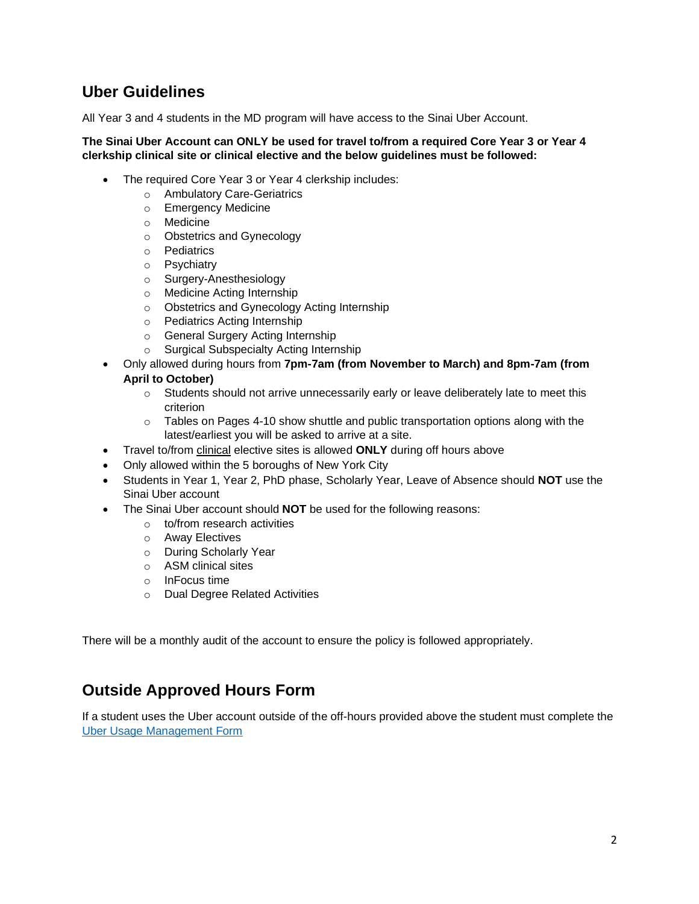#### **Uber Guidelines**

All Year 3 and 4 students in the MD program will have access to the Sinai Uber Account.

#### **The Sinai Uber Account can ONLY be used for travel to/from a required Core Year 3 or Year 4 clerkship clinical site or clinical elective and the below guidelines must be followed:**

- The required Core Year 3 or Year 4 clerkship includes:
	- o Ambulatory Care-Geriatrics
	- o Emergency Medicine
	- o Medicine
	- o Obstetrics and Gynecology
	- o Pediatrics
	- o Psychiatry
	- o Surgery-Anesthesiology
	- o Medicine Acting Internship
	- o Obstetrics and Gynecology Acting Internship
	- o Pediatrics Acting Internship
	- o General Surgery Acting Internship
	- o Surgical Subspecialty Acting Internship
- Only allowed during hours from **7pm-7am (from November to March) and 8pm-7am (from April to October)**
	- $\circ$  Students should not arrive unnecessarily early or leave deliberately late to meet this criterion
	- $\circ$  Tables on Pages 4-10 show shuttle and public transportation options along with the latest/earliest you will be asked to arrive at a site.
- Travel to/from clinical elective sites is allowed **ONLY** during off hours above
- Only allowed within the 5 boroughs of New York City
- Students in Year 1, Year 2, PhD phase, Scholarly Year, Leave of Absence should **NOT** use the Sinai Uber account
- The Sinai Uber account should **NOT** be used for the following reasons:
	- o to/from research activities
	- o Away Electives
	- o During Scholarly Year
	- o ASM clinical sites
	- o InFocus time
	- o Dual Degree Related Activities

There will be a monthly audit of the account to ensure the policy is followed appropriately.

#### **Outside Approved Hours Form**

If a student uses the Uber account outside of the off-hours provided above the student must complete the [Uber Usage Management Form](https://mountsinai.formstack.com/forms/uber_usage_management_form)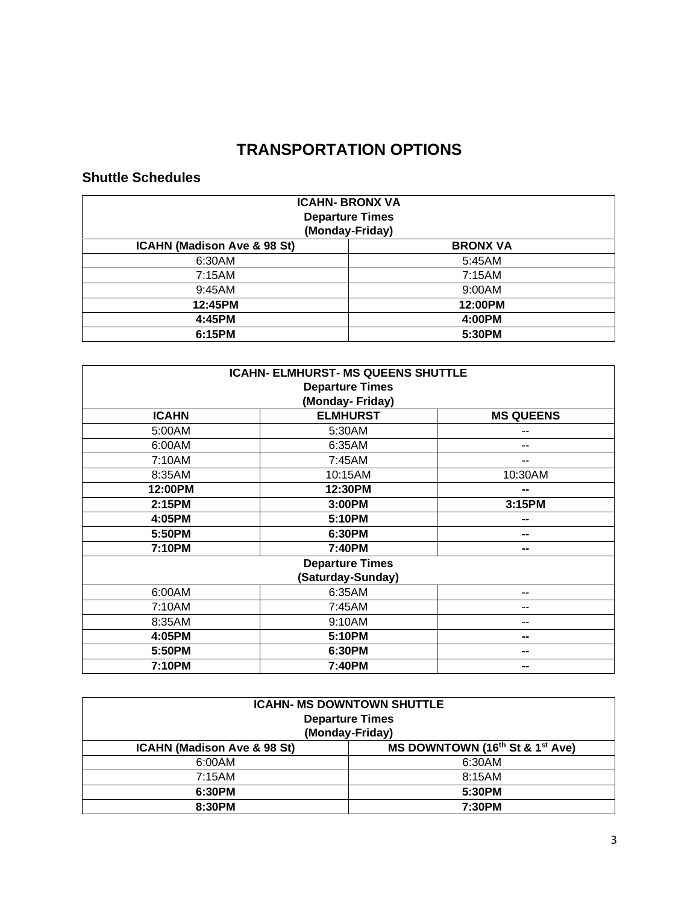## **TRANSPORTATION OPTIONS**

#### **Shuttle Schedules**

| <b>ICAHN- BRONX VA</b><br><b>Departure Times</b><br>(Monday-Friday) |                 |  |  |  |
|---------------------------------------------------------------------|-----------------|--|--|--|
| ICAHN (Madison Ave & 98 St)                                         | <b>BRONX VA</b> |  |  |  |
| 6:30AM                                                              | 5:45AM          |  |  |  |
| 7:15AM                                                              | 7:15AM          |  |  |  |
| 9:45AM                                                              | 9:00AM          |  |  |  |
| 12:45PM                                                             | 12:00PM         |  |  |  |
| 4:45PM                                                              | 4:00PM          |  |  |  |
| 6:15PM                                                              | 5:30PM          |  |  |  |

| <b>ICAHN- ELMHURST- MS QUEENS SHUTTLE</b>           |                 |         |  |  |  |
|-----------------------------------------------------|-----------------|---------|--|--|--|
| <b>Departure Times</b>                              |                 |         |  |  |  |
|                                                     | (Monday-Friday) |         |  |  |  |
| <b>ELMHURST</b><br><b>MS QUEENS</b><br><b>ICAHN</b> |                 |         |  |  |  |
| 5:00AM                                              | 5:30AM          | --      |  |  |  |
| 6:00AM                                              | 6:35AM          | --      |  |  |  |
| 7:10AM                                              | 7:45AM          | --      |  |  |  |
| 8:35AM                                              | 10:15AM         | 10:30AM |  |  |  |
| 12:00PM                                             | 12:30PM         | --      |  |  |  |
| 2:15PM                                              | 3:00PM          | 3:15PM  |  |  |  |
| 4:05PM                                              | 5:10PM          | --      |  |  |  |
| 5:50PM                                              | 6:30PM          | --      |  |  |  |
| 7:10PM                                              | 7:40PM          | --      |  |  |  |
| <b>Departure Times</b>                              |                 |         |  |  |  |
| (Saturday-Sunday)                                   |                 |         |  |  |  |
| 6:00AM                                              | 6:35AM          | --      |  |  |  |
| 7:10AM                                              | 7:45AM          | --      |  |  |  |
| 8:35AM                                              | 9:10AM          | --      |  |  |  |
| 4:05PM                                              | 5:10PM          | --      |  |  |  |
| 5:50PM                                              | 6:30PM          | --      |  |  |  |
| 7:10PM                                              | 7:40PM          | --      |  |  |  |

| <b>ICAHN- MS DOWNTOWN SHUTTLE</b><br><b>Departure Times</b><br>(Monday-Friday)         |  |  |  |  |
|----------------------------------------------------------------------------------------|--|--|--|--|
| MS DOWNTOWN (16 <sup>th</sup> St & 1 <sup>st</sup> Ave)<br>ICAHN (Madison Ave & 98 St) |  |  |  |  |
| 6:00AM<br>6:30AM                                                                       |  |  |  |  |
| 7:15AM<br>8:15AM                                                                       |  |  |  |  |
| 6:30PM<br>5:30PM                                                                       |  |  |  |  |
| 8:30PM<br>7:30PM                                                                       |  |  |  |  |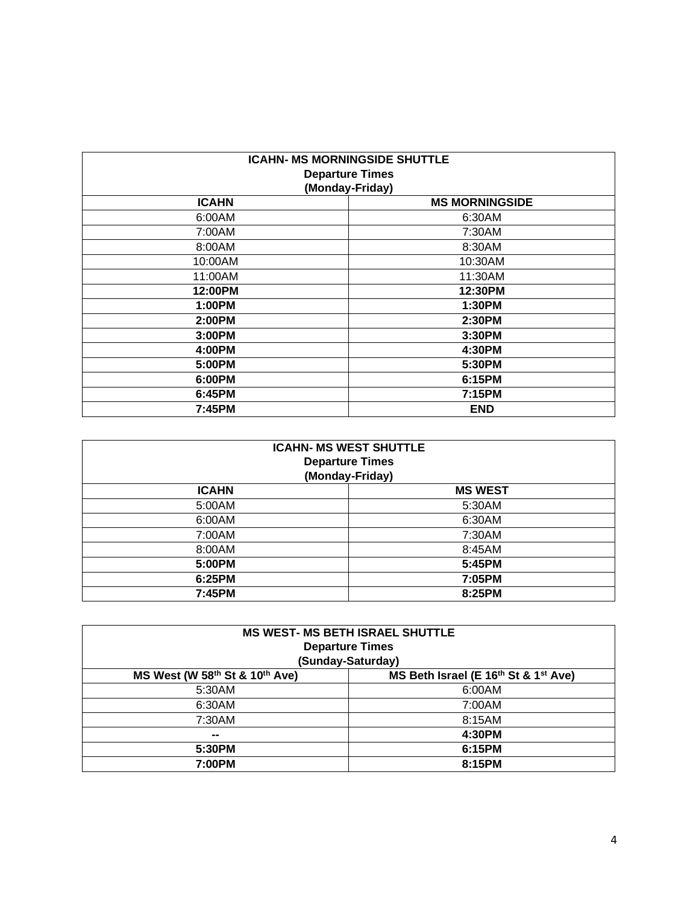| <b>ICAHN- MS MORNINGSIDE SHUTTLE</b><br><b>Departure Times</b><br>(Monday-Friday) |                       |  |  |
|-----------------------------------------------------------------------------------|-----------------------|--|--|
| <b>ICAHN</b>                                                                      | <b>MS MORNINGSIDE</b> |  |  |
| 6:00AM                                                                            | 6:30AM                |  |  |
| 7:00AM                                                                            | 7:30AM                |  |  |
| 8:00AM                                                                            | 8:30AM                |  |  |
| 10:00AM                                                                           | 10:30AM               |  |  |
| 11:00AM                                                                           | 11:30AM               |  |  |
| 12:00PM                                                                           | 12:30PM               |  |  |
| 1:00PM                                                                            | 1:30PM                |  |  |
| 2:00PM                                                                            | 2:30PM                |  |  |
| 3:00PM                                                                            | 3:30PM                |  |  |
| 4:00PM                                                                            | 4:30PM                |  |  |
| 5:00PM                                                                            | 5:30PM                |  |  |
| 6:00PM                                                                            | 6:15PM                |  |  |
| 6:45PM                                                                            | 7:15PM                |  |  |
| 7:45PM                                                                            | <b>END</b>            |  |  |

| <b>ICAHN- MS WEST SHUTTLE</b><br><b>Departure Times</b><br>(Monday-Friday) |                |  |  |
|----------------------------------------------------------------------------|----------------|--|--|
| <b>ICAHN</b>                                                               | <b>MS WEST</b> |  |  |
| 5:00AM                                                                     | 5:30AM         |  |  |
| 6:00AM                                                                     | 6:30AM         |  |  |
| 7:00AM                                                                     | 7:30AM         |  |  |
| 8:00AM                                                                     | 8:45AM         |  |  |
| 5:00PM                                                                     | 5:45PM         |  |  |
| 6:25PM                                                                     | 7:05PM         |  |  |
| 7:45PM                                                                     | 8:25PM         |  |  |

| <b>MS WEST- MS BETH ISRAEL SHUTTLE</b>                                 |        |  |  |
|------------------------------------------------------------------------|--------|--|--|
| <b>Departure Times</b>                                                 |        |  |  |
| (Sunday-Saturday)                                                      |        |  |  |
| MS West (W 58th St & 10th Ave)<br>MS Beth Israel (E 16th St & 1st Ave) |        |  |  |
| 5:30AM                                                                 | 6:00AM |  |  |
| 6:30AM                                                                 | 7:00AM |  |  |
| 7:30AM                                                                 | 8:15AM |  |  |
| $\sim$                                                                 | 4:30PM |  |  |
| 6:15PM<br>5:30PM                                                       |        |  |  |
| 7:00PM<br>8:15PM                                                       |        |  |  |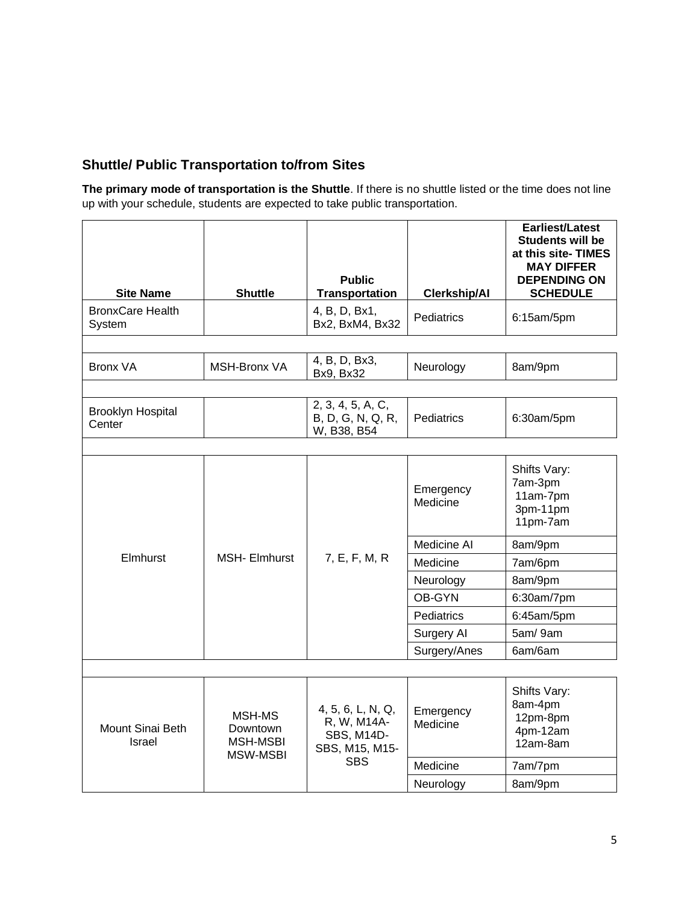#### **Shuttle/ Public Transportation to/from Sites**

**The primary mode of transportation is the Shuttle**. If there is no shuttle listed or the time does not line up with your schedule, students are expected to take public transportation.

| <b>Site Name</b>                   | <b>Shuttle</b>                                    | <b>Public</b><br><b>Transportation</b>                                                | <b>Clerkship/AI</b>   | Earliest/Latest<br><b>Students will be</b><br>at this site- TIMES<br><b>MAY DIFFER</b><br><b>DEPENDING ON</b><br><b>SCHEDULE</b> |
|------------------------------------|---------------------------------------------------|---------------------------------------------------------------------------------------|-----------------------|----------------------------------------------------------------------------------------------------------------------------------|
| <b>BronxCare Health</b><br>System  |                                                   | 4, B, D, Bx1,<br>Bx2, BxM4, Bx32                                                      | <b>Pediatrics</b>     | 6:15am/5pm                                                                                                                       |
|                                    |                                                   |                                                                                       |                       |                                                                                                                                  |
| <b>Bronx VA</b>                    | <b>MSH-Bronx VA</b>                               | 4, B, D, Bx3,<br>Bx9, Bx32                                                            | Neurology             | 8am/9pm                                                                                                                          |
|                                    |                                                   |                                                                                       |                       |                                                                                                                                  |
| <b>Brooklyn Hospital</b><br>Center |                                                   | 2, 3, 4, 5, A, C,<br>B, D, G, N, Q, R,<br>W, B38, B54                                 | Pediatrics            | 6:30am/5pm                                                                                                                       |
|                                    |                                                   |                                                                                       |                       |                                                                                                                                  |
|                                    |                                                   |                                                                                       | Emergency<br>Medicine | Shifts Vary:<br>7am-3pm<br>11am-7pm<br>3pm-11pm<br>11pm-7am                                                                      |
| Elmhurst                           |                                                   | 7, E, F, M, R                                                                         | Medicine AI           | 8am/9pm                                                                                                                          |
|                                    | <b>MSH-Elmhurst</b>                               |                                                                                       | Medicine              | 7am/6pm                                                                                                                          |
|                                    |                                                   |                                                                                       | Neurology             | 8am/9pm                                                                                                                          |
|                                    |                                                   |                                                                                       | OB-GYN                | 6:30am/7pm                                                                                                                       |
|                                    |                                                   |                                                                                       | Pediatrics            | 6:45am/5pm                                                                                                                       |
|                                    |                                                   |                                                                                       | Surgery Al            | 5am/9am                                                                                                                          |
|                                    |                                                   |                                                                                       | Surgery/Anes          | 6am/6am                                                                                                                          |
|                                    |                                                   |                                                                                       |                       |                                                                                                                                  |
| Mount Sinai Beth<br><b>Israel</b>  | MSH-MS<br>Downtown<br><b>MSH-MSBI</b><br>MSW-MSBI | 4, 5, 6, L, N, Q,<br>R, W, M14A-<br><b>SBS, M14D-</b><br>SBS, M15, M15-<br><b>SBS</b> | Emergency<br>Medicine | Shifts Vary:<br>8am-4pm<br>12pm-8pm<br>4pm-12am<br>12am-8am                                                                      |
|                                    |                                                   |                                                                                       | Medicine              | 7am/7pm                                                                                                                          |
|                                    |                                                   |                                                                                       | Neurology             | 8am/9pm                                                                                                                          |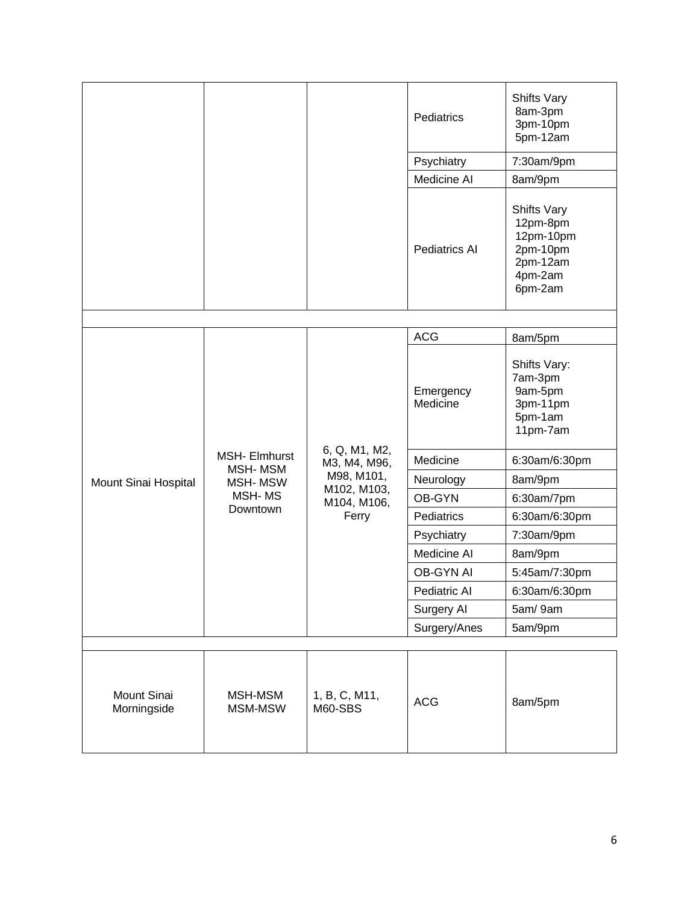|                            |                    |                                                                                    | Pediatrics            | Shifts Vary<br>8am-3pm<br>3pm-10pm<br>5pm-12am                                     |
|----------------------------|--------------------|------------------------------------------------------------------------------------|-----------------------|------------------------------------------------------------------------------------|
|                            |                    |                                                                                    | Psychiatry            | 7:30am/9pm                                                                         |
|                            |                    |                                                                                    | Medicine AI           | 8am/9pm                                                                            |
|                            |                    |                                                                                    | <b>Pediatrics AI</b>  | Shifts Vary<br>12pm-8pm<br>12pm-10pm<br>2pm-10pm<br>2pm-12am<br>4pm-2am<br>6pm-2am |
|                            |                    |                                                                                    |                       |                                                                                    |
|                            |                    |                                                                                    | <b>ACG</b>            | 8am/5pm                                                                            |
|                            | MSH- Elmhurst      | 6, Q, M1, M2,<br>M3, M4, M96,<br>M98, M101,<br>M102, M103,<br>M104, M106,<br>Ferry | Emergency<br>Medicine | Shifts Vary:<br>7am-3pm<br>9am-5pm<br>3pm-11pm<br>5pm-1am<br>11pm-7am              |
|                            |                    |                                                                                    | Medicine              | 6:30am/6:30pm                                                                      |
| Mount Sinai Hospital       | MSH-MSM<br>MSH-MSW |                                                                                    | Neurology             | 8am/9pm                                                                            |
|                            | <b>MSH-MS</b>      |                                                                                    | OB-GYN                | 6:30am/7pm                                                                         |
|                            | Downtown           |                                                                                    | Pediatrics            | 6:30am/6:30pm                                                                      |
|                            |                    |                                                                                    | Psychiatry            | 7:30am/9pm                                                                         |
|                            |                    |                                                                                    | Medicine AI           | 8am/9pm                                                                            |
|                            |                    |                                                                                    | OB-GYN AI             | 5:45am/7:30pm                                                                      |
|                            |                    |                                                                                    | Pediatric Al          | 6:30am/6:30pm                                                                      |
|                            |                    |                                                                                    | Surgery AI            | 5am/9am                                                                            |
|                            |                    |                                                                                    | Surgery/Anes          | 5am/9pm                                                                            |
|                            |                    |                                                                                    |                       |                                                                                    |
| Mount Sinai<br>Morningside | MSH-MSM<br>MSM-MSW | 1, B, C, M11,<br>M60-SBS                                                           | <b>ACG</b>            | 8am/5pm                                                                            |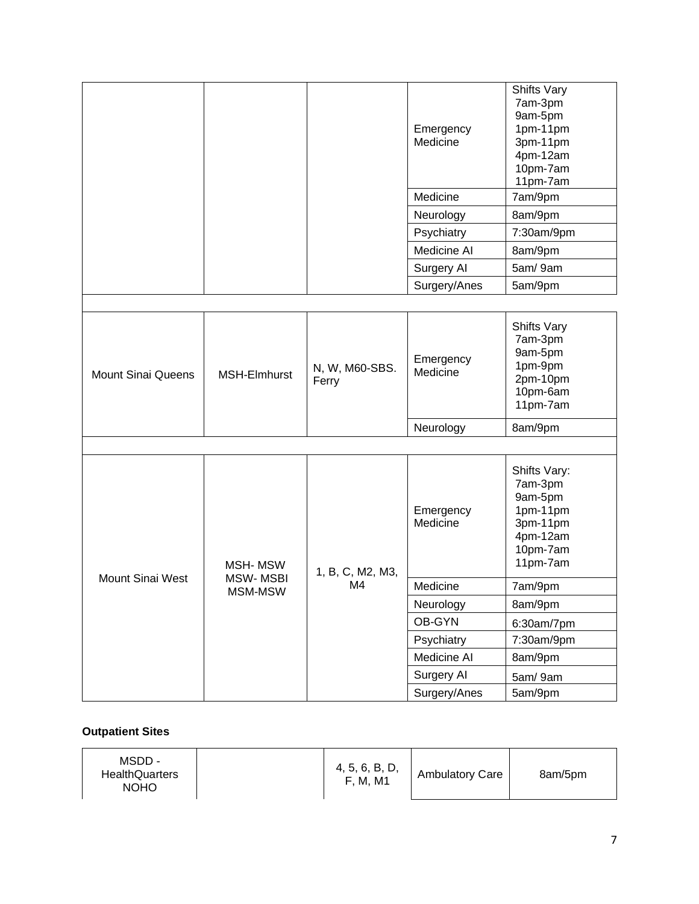|                           |                            |                         | Emergency<br>Medicine | Shifts Vary<br>7am-3pm<br>9am-5pm<br>1pm-11pm<br>3pm-11pm<br>4pm-12am<br>10pm-7am<br>11pm-7am  |
|---------------------------|----------------------------|-------------------------|-----------------------|------------------------------------------------------------------------------------------------|
|                           |                            |                         | Medicine              | 7am/9pm                                                                                        |
|                           |                            |                         | Neurology             | 8am/9pm                                                                                        |
|                           |                            |                         | Psychiatry            | 7:30am/9pm                                                                                     |
|                           |                            |                         | Medicine AI           | 8am/9pm                                                                                        |
|                           |                            |                         | Surgery AI            | 5am/9am                                                                                        |
|                           |                            |                         | Surgery/Anes          | 5am/9pm                                                                                        |
|                           |                            |                         |                       |                                                                                                |
| <b>Mount Sinai Queens</b> | MSH-Elmhurst               | N, W, M60-SBS.<br>Ferry | Emergency<br>Medicine | <b>Shifts Vary</b><br>7am-3pm<br>9am-5pm<br>1pm-9pm<br>2pm-10pm<br>10pm-6am<br>11pm-7am        |
|                           |                            |                         | Neurology             | 8am/9pm                                                                                        |
|                           |                            |                         |                       |                                                                                                |
|                           | MSH-MSW<br><b>MSW-MSBI</b> | 1, B, C, M2, M3,        | Emergency<br>Medicine | Shifts Vary:<br>7am-3pm<br>9am-5pm<br>1pm-11pm<br>3pm-11pm<br>4pm-12am<br>10pm-7am<br>11pm-7am |
| Mount Sinai West          | MSM-MSW                    | M4                      | Medicine              | 7am/9pm                                                                                        |
|                           |                            |                         | Neurology             | 8am/9pm                                                                                        |
|                           |                            |                         | OB-GYN                | 6:30am/7pm                                                                                     |
|                           |                            |                         | Psychiatry            | 7:30am/9pm                                                                                     |
|                           |                            |                         | Medicine AI           | 8am/9pm                                                                                        |
|                           |                            |                         | Surgery Al            | 5am/9am                                                                                        |
|                           |                            |                         | Surgery/Anes          | 5am/9pm                                                                                        |

#### **Outpatient Sites**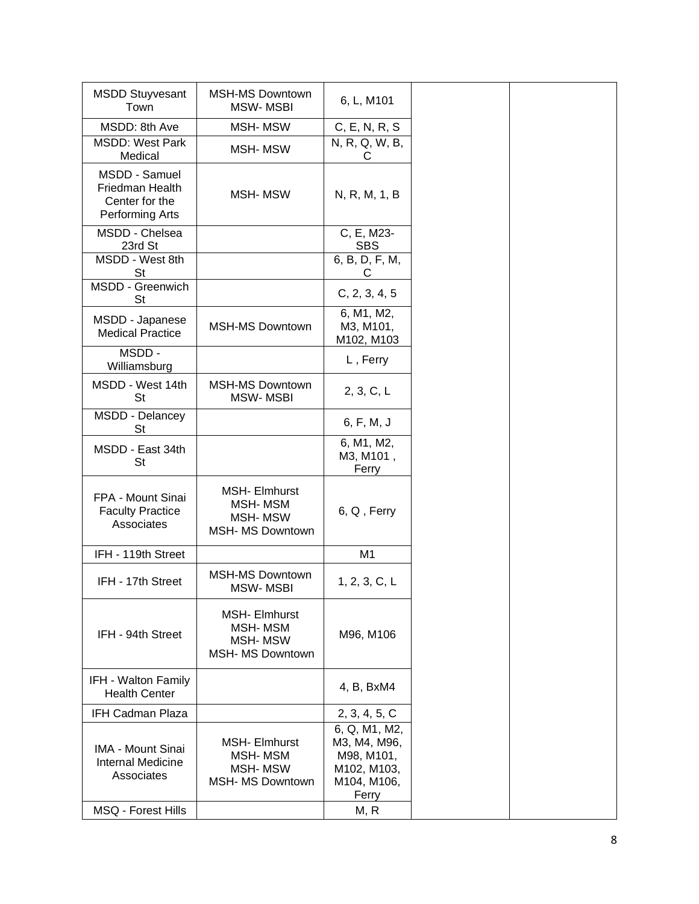| <b>MSDD Stuyvesant</b><br>Town                                        | <b>MSH-MS Downtown</b><br><b>MSW-MSBI</b>                                    | 6, L, M101                                                                         |
|-----------------------------------------------------------------------|------------------------------------------------------------------------------|------------------------------------------------------------------------------------|
| MSDD: 8th Ave                                                         | MSH-MSW                                                                      | C, E, N, R, S                                                                      |
| <b>MSDD: West Park</b><br>Medical                                     | <b>MSH-MSW</b>                                                               | N, R, Q, W, B,<br>С                                                                |
| MSDD - Samuel<br>Friedman Health<br>Center for the<br>Performing Arts | MSH-MSW                                                                      | N, R, M, 1, B                                                                      |
| MSDD - Chelsea<br>23rd St                                             |                                                                              | C, E, M23-<br><b>SBS</b>                                                           |
| MSDD - West 8th<br><b>St</b>                                          |                                                                              | 6, B, D, F, M,<br>С                                                                |
| MSDD - Greenwich<br><b>St</b>                                         |                                                                              | C, 2, 3, 4, 5                                                                      |
| MSDD - Japanese<br><b>Medical Practice</b>                            | <b>MSH-MS Downtown</b>                                                       | 6, M1, M2,<br>M3, M101,<br>M102, M103                                              |
| MSDD-<br>Williamsburg                                                 |                                                                              | L, Ferry                                                                           |
| MSDD - West 14th<br><b>St</b>                                         | <b>MSH-MS Downtown</b><br><b>MSW-MSBI</b>                                    | 2, 3, C, L                                                                         |
| MSDD - Delancey<br>St                                                 |                                                                              | 6, F, M, J                                                                         |
| MSDD - East 34th<br><b>St</b>                                         |                                                                              | 6, M1, M2,<br>M3, M101,<br>Ferry                                                   |
| FPA - Mount Sinai<br><b>Faculty Practice</b><br>Associates            | <b>MSH-Elmhurst</b><br>MSH-MSM<br><b>MSH-MSW</b><br><b>MSH- MS Downtown</b>  | 6, Q, Ferry                                                                        |
| IFH - 119th Street                                                    |                                                                              | M <sub>1</sub>                                                                     |
| IFH - 17th Street                                                     | <b>MSH-MS Downtown</b><br>MSW-MSBI                                           | 1, 2, 3, C, L                                                                      |
| IFH - 94th Street                                                     | <b>MSH- Elmhurst</b><br>MSH-MSM<br><b>MSH-MSW</b><br><b>MSH- MS Downtown</b> | M96, M106                                                                          |
| IFH - Walton Family<br><b>Health Center</b>                           |                                                                              | 4, B, BxM4                                                                         |
| <b>IFH Cadman Plaza</b>                                               |                                                                              | 2, 3, 4, 5, C                                                                      |
| <b>IMA - Mount Sinai</b><br><b>Internal Medicine</b><br>Associates    | <b>MSH-Elmhurst</b><br><b>MSH-MSM</b><br><b>MSH-MSW</b><br>MSH- MS Downtown  | 6, Q, M1, M2,<br>M3, M4, M96,<br>M98, M101,<br>M102, M103,<br>M104, M106,<br>Ferry |
| MSQ - Forest Hills                                                    |                                                                              | M, R                                                                               |